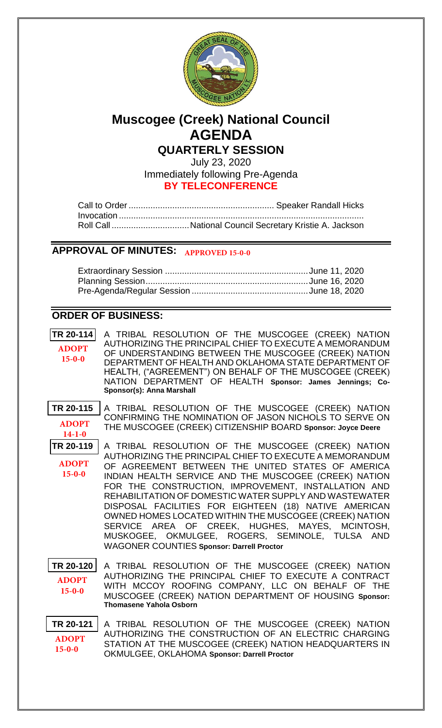

# **Muscogee (Creek) National Council AGENDA QUARTERLY SESSION**

July 23, 2020 Immediately following Pre-Agenda **BY TELECONFERENCE**

# **APPROVAL OF MINUTES: APPROVED 15-0-0**

# **ORDER OF BUSINESS:**

**[TR 20-114](bills/20-114.pdf)** A TRIBAL RESOLUTION OF THE MUSCOGEE (CREEK) NATION AUTHORIZING THE PRINCIPAL CHIEF TO EXECUTE A MEMORANDUM OF UNDERSTANDING BETWEEN THE MUSCOGEE (CREEK) NATION DEPARTMENT OF HEALTH AND OKLAHOMA STATE DEPARTMENT OF HEALTH, ("AGREEMENT") ON BEHALF OF THE MUSCOGEE (CREEK) NATION DEPARTMENT OF HEALTH **Sponsor: James Jennings; Co-Sponsor(s): Anna Marshall ADOPT 15-0-0**

**[TR 20-115](bills/20-115.pdf)** A TRIBAL RESOLUTION OF THE MUSCOGEE (CREEK) NATION CONFIRMING THE NOMINATION OF JASON NICHOLS TO SERVE ON THE MUSCOGEE (CREEK) CITIZENSHIP BOARD **Sponsor: Joyce Deere ADOPT 14-1-0**

**[TR 20-119](bills/20-119.pdf)** A TRIBAL RESOLUTION OF THE MUSCOGEE (CREEK) NATION AUTHORIZING THE PRINCIPAL CHIEF TO EXECUTE A MEMORANDUM OF AGREEMENT BETWEEN THE UNITED STATES OF AMERICA INDIAN HEALTH SERVICE AND THE MUSCOGEE (CREEK) NATION FOR THE CONSTRUCTION, IMPROVEMENT, INSTALLATION AND REHABILITATION OF DOMESTIC WATER SUPPLY AND WASTEWATER DISPOSAL FACILITIES FOR EIGHTEEN (18) NATIVE AMERICAN OWNED HOMES LOCATED WITHIN THE MUSCOGEE (CREEK) NATION SERVICE AREA OF CREEK, HUGHES, MAYES, MCINTOSH, MUSKOGEE, OKMULGEE, ROGERS, SEMINOLE, TULSA AND WAGONER COUNTIES **Sponsor: Darrell Proctor ADOPT 15-0-0**

**[TR 20-120](bills/20-120.pdf)** A TRIBAL RESOLUTION OF THE MUSCOGEE (CREEK) NATION AUTHORIZING THE PRINCIPAL CHIEF TO EXECUTE A CONTRACT WITH MCCOY ROOFING COMPANY, LLC ON BEHALF OF THE MUSCOGEE (CREEK) NATION DEPARTMENT OF HOUSING **Sponsor: Thomasene Yahola Osborn ADOPT 15-0-0**

**[TR 20-121](bills/20-121.pdf)** A TRIBAL RESOLUTION OF THE MUSCOGEE (CREEK) NATION AUTHORIZING THE CONSTRUCTION OF AN ELECTRIC CHARGING STATION AT THE MUSCOGEE (CREEK) NATION HEADQUARTERS IN OKMULGEE, OKLAHOMA **Sponsor: Darrell Proctor ADOPT 15-0-0**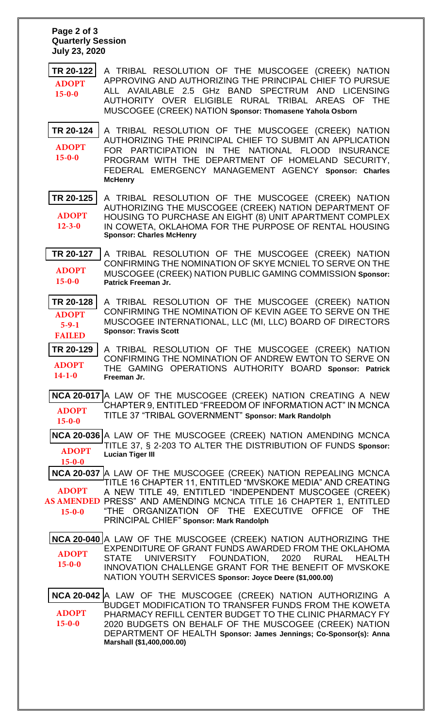#### **Page 2 of 3 Quarterly Session July 23, 2020**

**[TR 20-122](bills/20-122.pdf)** A TRIBAL RESOLUTION OF THE MUSCOGEE (CREEK) NATION APPROVING AND AUTHORIZING THE PRINCIPAL CHIEF TO PURSUE ALL AVAILABLE 2.5 GHz BAND SPECTRUM AND LICENSING AUTHORITY OVER ELIGIBLE RURAL TRIBAL AREAS OF THE MUSCOGEE (CREEK) NATION **Sponsor: Thomasene Yahola Osborn ADOPT 15-0-0**

**[TR 20-124](bills/20-124.pdf)** A TRIBAL RESOLUTION OF THE MUSCOGEE (CREEK) NATION AUTHORIZING THE PRINCIPAL CHIEF TO SUBMIT AN APPLICATION FOR PARTICIPATION IN THE NATIONAL FLOOD INSURANCE PROGRAM WITH THE DEPARTMENT OF HOMELAND SECURITY, FEDERAL EMERGENCY MANAGEMENT AGENCY **Sponsor: Charles McHenry ADOPT 15-0-0**

**[TR 20-125](bills/20-125.pdf)** A TRIBAL RESOLUTION OF THE MUSCOGEE (CREEK) NATION AUTHORIZING THE MUSCOGEE (CREEK) NATION DEPARTMENT OF HOUSING TO PURCHASE AN EIGHT (8) UNIT APARTMENT COMPLEX IN COWETA, OKLAHOMA FOR THE PURPOSE OF RENTAL HOUSING **Sponsor: Charles McHenry ADOPT 12-3-0**

**[TR 20-127](bills/20-127.pdf)** A TRIBAL RESOLUTION OF THE MUSCOGEE (CREEK) NATION CONFIRMING THE NOMINATION OF SKYE MCNIEL TO SERVE ON THE MUSCOGEE (CREEK) NATION PUBLIC GAMING COMMISSION **Sponsor: Patrick Freeman Jr. ADOPT 15-0-0**

**[TR 20-128](bills/20-128.pdf)** A TRIBAL RESOLUTION OF THE MUSCOGEE (CREEK) NATION CONFIRMING THE NOMINATION OF KEVIN AGEE TO SERVE ON THE MUSCOGEE INTERNATIONAL, LLC (MI, LLC) BOARD OF DIRECTORS **Sponsor: Travis Scott ADOPT 5-9-1 FAILED**

**[TR 20-129](bills/20-129.pdf)** A TRIBAL RESOLUTION OF THE MUSCOGEE (CREEK) NATION CONFIRMING THE NOMINATION OF ANDREW EWTON TO SERVE ON THE GAMING OPERATIONS AUTHORITY BOARD **Sponsor: Patrick Freeman Jr. ADOPT 14-1-0**

**[NCA 20-017](bills/NCA20-017.pdf)** A LAW OF THE MUSCOGEE (CREEK) NATION CREATING A NEW CHAPTER 9, ENTITLED "FREEDOM OF INFORMATION ACT" IN MCNCA TITLE 37 "TRIBAL GOVERNMENT" **Sponsor: Mark Randolph ADOPT 15-0-0**

**[NCA 20-036](bills/NCA20-036.pdf)** A LAW OF THE MUSCOGEE (CREEK) NATION AMENDING MCNCA TITLE 37, § 2-203 TO ALTER THE DISTRIBUTION OF FUNDS **Sponsor: Lucian Tiger III ADOPT 15-0-0**

**[NCA 20-037](bills/NCA20-037.pdf)** A LAW OF THE MUSCOGEE (CREEK) NATION REPEALING MCNCA TITLE 16 CHAPTER 11, ENTITLED "MVSKOKE MEDIA" AND CREATING A NEW TITLE 49, ENTITLED "INDEPENDENT MUSCOGEE (CREEK) AS AMENDED PRESS" AND AMENDING MCNCA TITLE 16 CHAPTER 1, ENTITLED "THE ORGANIZATION OF THE EXECUTIVE OFFICE OF THE PRINCIPAL CHIEF" **Sponsor: Mark Randolph ADOPT 15-0-0**

**[NCA 20-040](bills/NCA20-040.pdf)** A LAW OF THE MUSCOGEE (CREEK) NATION AUTHORIZING THE EXPENDITURE OF GRANT FUNDS AWARDED FROM THE OKLAHOMA STATE UNIVERSITY FOUNDATION, 2020 RURAL HEALTH INNOVATION CHALLENGE GRANT FOR THE BENEFIT OF MVSKOKE NATION YOUTH SERVICES **Sponsor: Joyce Deere (\$1,000.00) ADOPT 15-0-0**

**[NCA 20-042](bills/NCA20-042.pdf)** A LAW OF THE MUSCOGEE (CREEK) NATION AUTHORIZING A BUDGET MODIFICATION TO TRANSFER FUNDS FROM THE KOWETA PHARMACY REFILL CENTER BUDGET TO THE CLINIC PHARMACY FY 2020 BUDGETS ON BEHALF OF THE MUSCOGEE (CREEK) NATION DEPARTMENT OF HEALTH **Sponsor: James Jennings; Co-Sponsor(s): Anna Marshall (\$1,400,000.00) ADOPT 15-0-0**